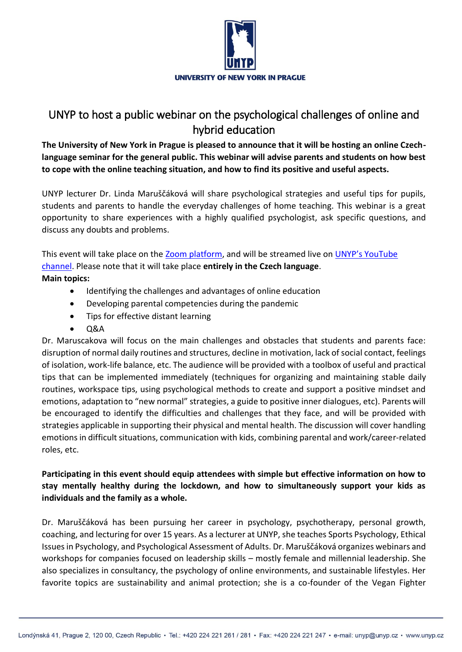

## UNYP to host a public webinar on the psychological challenges of online and hybrid education

**The University of New York in Prague is pleased to announce that it will be hosting an online Czechlanguage seminar for the general public. This webinar will advise parents and students on how best to cope with the online teaching situation, and how to find its positive and useful aspects.**

UNYP lecturer Dr. Linda Maruščáková will share psychological strategies and useful tips for pupils, students and parents to handle the everyday challenges of home teaching. This webinar is a great opportunity to share experiences with a highly qualified psychologist, ask specific questions, and discuss any doubts and problems.

This event will take place on the [Zoom platform,](https://www.unyp.cz/challenges-of-the-online-education) and will be streamed live on [UNYP's YouTube](https://youtu.be/c6C6loFAbs8)  [channel.](https://youtu.be/c6C6loFAbs8) Please note that it will take place **entirely in the Czech language**. **Main topics:**

- Identifying the challenges and advantages of online education
- Developing parental competencies during the pandemic
- Tips for effective distant learning
- $\bullet$   $\Omega$ A

Dr. Maruscakova will focus on the main challenges and obstacles that students and parents face: disruption of normal daily routines and structures, decline in motivation, lack of social contact, feelings of isolation, work-life balance, etc. The audience will be provided with a toolbox of useful and practical tips that can be implemented immediately (techniques for organizing and maintaining stable daily routines, workspace tips, using psychological methods to create and support a positive mindset and emotions, adaptation to "new normal" strategies, a guide to positive inner dialogues, etc). Parents will be encouraged to identify the difficulties and challenges that they face, and will be provided with strategies applicable in supporting their physical and mental health. The discussion will cover handling emotions in difficult situations, communication with kids, combining parental and work/career-related roles, etc.

## **Participating in this event should equip attendees with simple but effective information on how to stay mentally healthy during the lockdown, and how to simultaneously support your kids as individuals and the family as a whole.**

Dr. Maruščáková has been pursuing her career in psychology, psychotherapy, personal growth, coaching, and lecturing for over 15 years. As a lecturer at UNYP, she teaches Sports Psychology, Ethical Issues in Psychology, and Psychological Assessment of Adults. Dr. Maruščáková organizes webinars and workshops for companies focused on leadership skills – mostly female and millennial leadership. She also specializes in consultancy, the psychology of online environments, and sustainable lifestyles. Her favorite topics are sustainability and animal protection; she is a co-founder of the Vegan Fighter